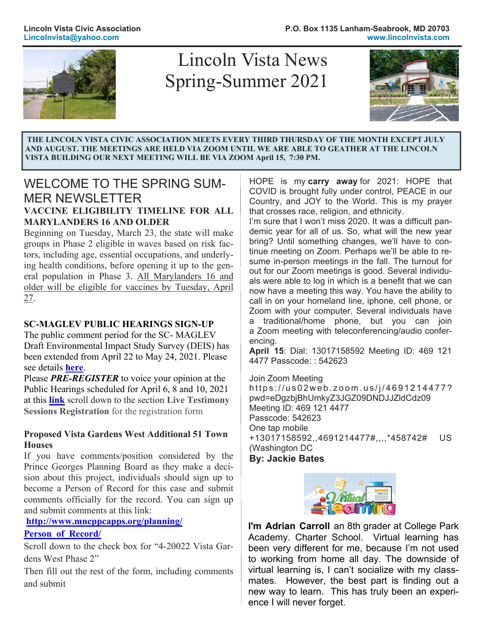

# Spring-Summer 2021 Lincoln Vista News



 **THE LINCOLN VISTA CIVIC ASSOCIATION MEETS EVERY THIRD THURSDAY OF THE MONTH EXCEPT JULY AND AUGUST. THE MEETINGS ARE HELD VIA ZOOM UNTIL WE ARE ABLE TO GEATHER AT THE LINCOLN VISTA BUILDING OUR NEXT MEETING WILL BE VIA ZOOM April 15, 7:30 PM.**

# WELCOME TO THE SPRING SUM-MER NEWSLETTER

#### **VACCINE ELIGIBILITY TIMELINE FOR ALL MARYLANDERS 16 AND OLDER**

Beginning on Tuesday, March 23, the state will make groups in Phase 2 eligible in waves based on risk factors, including age, essential occupations, and underlying health conditions, before opening it up to the general population in Phase 3. All Marylanders 16 and older will be eligible for vaccines by Tuesday, April 27.

### **SC-MAGLEV PUBLIC HEARINGS SIGN-UP**

The public comment period for the SC- MAGLEV Draft Environmental Impact Study Survey (DEIS) has been extended from April 22 to May 24, 2021. Please see details **here**.

Please *PRE-REGISTER* to voice your opinion at the Public Hearings scheduled for April 6, 8 and 10, 2021 at this **link** scroll down to the section **Live Testimony Sessions Registration** for the registration form

#### **Proposed Vista Gardens West Additional 51 Town Houses**

If you have comments/position considered by the Prince Georges Planning Board as they make a decision about this project, individuals should sign up to become a Person of Record for this case and submit comments officially for the record. You can sign up and submit comments at this link:

**http://www.mncppcapps.org/planning/**

#### **Person\_of\_Record/**

Scroll down to the check box for "4-20022 Vista Gardens West Phase 2"

Then fill out the rest of the form, including comments and submit

HOPE is my **carry away** for 2021: HOPE that COVID is brought fully under control, PEACE in our Country, and JOY to the World. This is my prayer that crosses race, religion, and ethnicity.

I'm sure that I won't miss 2020. It was a difficult pandemic year for all of us. So, what will the new year bring? Until something changes, we'll have to continue meeting on Zoom. Perhaps we'll be able to resume in-person meetings in the fall. The turnout for out for our Zoom meetings is good. Several individuals were able to log in which is a benefit that we can now have a meeting this way. You have the ability to call in on your homeland line, iphone, cell phone, or Zoom with your computer. Several individuals have a traditional/home phone, but you can join a Zoom meeting with teleconferencing/audio conferencing.

**April 15**: Dial: 13017158592 Meeting ID: 469 121 4477 Passcode: : 542623

Join Zoom Meeting https://us02web.zoom.us/j/4691214477? pwd=eDgzbjBhUmkyZ3JGZ09DNDJJZldCdz09 Meeting ID: 469 121 4477 Passcode: 542623 One tap mobile +13017158592,,4691214477#,,,,\*458742# US (Washington DC **By: Jackie Bates** 



**I'm Adrian Carroll** an 8th grader at College Park Academy. Charter School. Virtual learning has been very different for me, because I'm not used to working from home all day. The downside of virtual learning is, I can't socialize with my classmates. However, the best part is finding out a new way to learn. This has truly been an experience I will never forget.